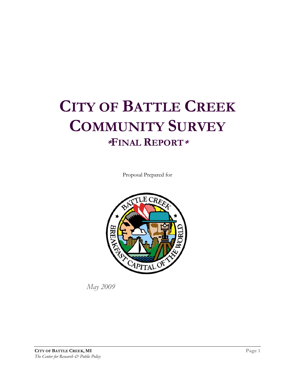# **CITY OF BATTLE CREEK COMMUNITY SURVEY \*FINAL REPORT\***

Proposal Prepared for



*May 2009*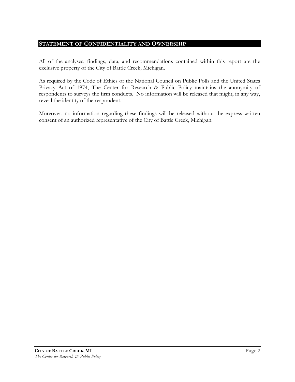#### **STATEMENT OF CONFIDENTIALITY AND OWNERSHIP**

All of the analyses, findings, data, and recommendations contained within this report are the exclusive property of the City of Battle Creek, Michigan.

As required by the Code of Ethics of the National Council on Public Polls and the United States Privacy Act of 1974, The Center for Research & Public Policy maintains the anonymity of respondents to surveys the firm conducts. No information will be released that might, in any way, reveal the identity of the respondent.

Moreover, no information regarding these findings will be released without the express written consent of an authorized representative of the City of Battle Creek, Michigan.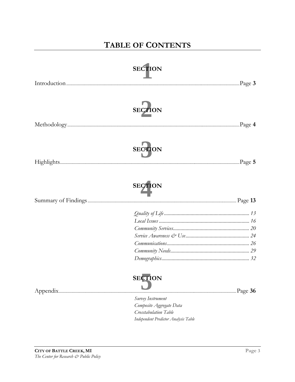## **TABLE OF CONTENTS**

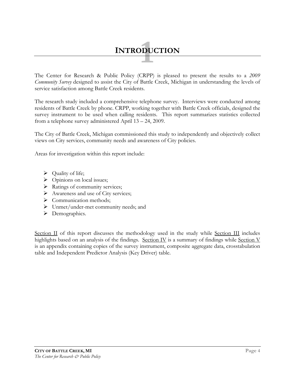# **1 INTRODUCTION**

The Center for Research & Public Policy (CRPP) is pleased to present the results to a *2009 Community Survey* designed to assist the City of Battle Creek, Michigan in understanding the levels of service satisfaction among Battle Creek residents.

The research study included a comprehensive telephone survey. Interviews were conducted among residents of Battle Creek by phone. CRPP, working together with Battle Creek officials, designed the survey instrument to be used when calling residents. This report summarizes statistics collected from a telephone survey administered April 13 – 24, 2009.

The City of Battle Creek, Michigan commissioned this study to independently and objectively collect views on City services, community needs and awareness of City policies.

Areas for investigation within this report include:

- $\triangleright$  Quality of life;
- $\triangleright$  Opinions on local issues;
- $\triangleright$  Ratings of community services;
- $\triangleright$  Awareness and use of City services;
- $\triangleright$  Communication methods;
- ¾ Unmet/under-met community needs; and
- > Demographics.

Section II of this report discusses the methodology used in the study while Section III includes highlights based on an analysis of the findings. Section IV is a summary of findings while Section V is an appendix containing copies of the survey instrument, composite aggregate data, crosstabulation table and Independent Predictor Analysis (Key Driver) table.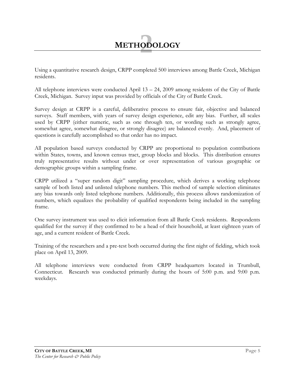

Using a quantitative research design, CRPP completed 500 interviews among Battle Creek, Michigan residents.

All telephone interviews were conducted April  $13 - 24$ , 2009 among residents of the City of Battle Creek, Michigan. Survey input was provided by officials of the City of Battle Creek.

Survey design at CRPP is a careful, deliberative process to ensure fair, objective and balanced surveys. Staff members, with years of survey design experience, edit any bias. Further, all scales used by CRPP (either numeric, such as one through ten, or wording such as strongly agree, somewhat agree, somewhat disagree, or strongly disagree) are balanced evenly. And, placement of questions is carefully accomplished so that order has no impact.

All population based surveys conducted by CRPP are proportional to population contributions within States, towns, and known census tract, group blocks and blocks. This distribution ensures truly representative results without under or over representation of various geographic or demographic groups within a sampling frame.

CRPP utilized a "super random digit" sampling procedure, which derives a working telephone sample of both listed and unlisted telephone numbers. This method of sample selection eliminates any bias towards only listed telephone numbers. Additionally, this process allows randomization of numbers, which equalizes the probability of qualified respondents being included in the sampling frame.

One survey instrument was used to elicit information from all Battle Creek residents. Respondents qualified for the survey if they confirmed to be a head of their household, at least eighteen years of age, and a current resident of Battle Creek.

Training of the researchers and a pre-test both occurred during the first night of fielding, which took place on April 13, 2009.

All telephone interviews were conducted from CRPP headquarters located in Trumbull, Connecticut. Research was conducted primarily during the hours of 5:00 p.m. and 9:00 p.m. weekdays.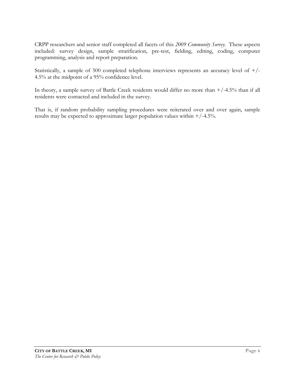CRPP researchers and senior staff completed all facets of this *2009 Community Survey*. These aspects included: survey design, sample stratification, pre-test, fielding, editing, coding, computer programming, analysis and report preparation.

Statistically, a sample of 500 completed telephone interviews represents an accuracy level of +/- 4.5% at the midpoint of a 95% confidence level.

In theory, a sample survey of Battle Creek residents would differ no more than  $+/-4.5%$  than if all residents were contacted and included in the survey.

That is, if random probability sampling procedures were reiterated over and over again, sample results may be expected to approximate larger population values within +/-4.5%.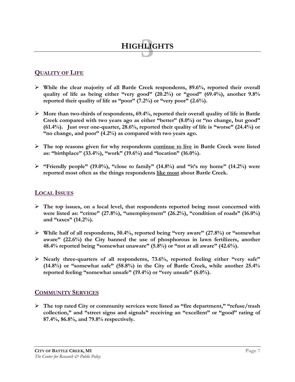## **QUALITY OF LIFE**

¾ **While the clear majority of all Battle Creek respondents, 89.6%, reported their overall quality of life as being either "very good" (20.2%) or "good" (69.4%), another 9.8% reported their quality of life as "poor" (7.2%) or "very poor" (2.6%).** 

**3 HIGHLIGHTS**

- ¾ **More than two-thirds of respondents, 69.4%, reported their overall quality of life in Battle Creek compared with two years ago as either "better" (8.0%) or "no change, but good" (61.4%). Just over one-quarter, 28.6%, reported their quality of life is "worse" (24.4%) or "no change, and poor" (4.2%) as compared with two years ago.**
- ¾ **The top reasons given for why respondents continue to live in Battle Creek were listed as: "birthplace" (33.4%), "work" (19.6%) and "location" (16.0%).**
- ¾ **"Friendly people" (19.0%), "close to family" (14.8%) and "it's my home" (14.2%) were reported most often as the things respondents like most about Battle Creek.**

#### **LOCAL ISSUES**

- ¾ **The top issues, on a local level, that respondents reported being most concerned with were listed as: "crime" (27.8%), "unemployment" (26.2%), "condition of roads" (16.0%) and "taxes" (14.2%).**
- ¾ **While half of all respondents, 50.4%, reported being "very aware" (27.8%) or "somewhat**  aware" (22.6%) the City banned the use of phosphorous in lawn fertilizers, another **48.4% reported being "somewhat unaware" (5.8%) or "not at all aware" (42.6%).**
- ¾ **Nearly three-quarters of all respondents, 73.6%, reported feeling either "very safe" (14.8%) or "somewhat safe" (58.8%) in the City of Battle Creek, while another 25.4% reported feeling "somewhat unsafe" (19.4%) or "very unsafe" (6.0%).**

#### **COMMUNITY SERVICES**

¾ **The top rated City or community services were listed as "fire department," "refuse/trash collection," and "street signs and signals" receiving an "excellent" or "good" rating of 87.4%, 86.8%, and 79.8% respectively.**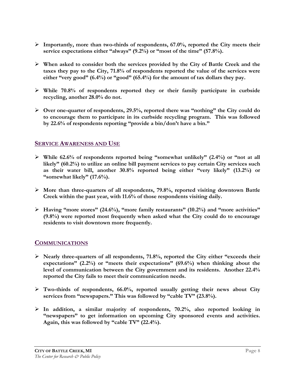- ¾ **Importantly, more than two-thirds of respondents, 67.0%, reported the City meets their service expectations either "always" (9.2%) or "most of the time" (57.8%).**
- ¾ **When asked to consider both the services provided by the City of Battle Creek and the taxes they pay to the City, 71.8% of respondents reported the value of the services were either "very good" (6.4%) or "good" (65.4%) for the amount of tax dollars they pay.**
- ¾ **While 70.8% of respondents reported they or their family participate in curbside recycling, another 28.0% do not.**
- ¾ **Over one-quarter of respondents, 29.5%, reported there was "nothing" the City could do to encourage them to participate in its curbside recycling program. This was followed by 22.6% of respondents reporting "provide a bin/don't have a bin."**

#### **SERVICE AWARENESS AND USE**

- ¾ **While 62.6% of respondents reported being "somewhat unlikely" (2.4%) or "not at all likely" (60.2%) to utilize an online bill payment services to pay certain City services such as their water bill, another 30.8% reported being either "very likely" (13.2%) or "somewhat likely" (17.6%).**
- ¾ **More than three-quarters of all respondents, 79.8%, reported visiting downtown Battle Creek within the past year, with 11.6% of those respondents visiting daily.**
- ¾ **Having "more stores" (24.6%), "more family restaurants" (10.2%) and "more activities" (9.8%) were reported most frequently when asked what the City could do to encourage residents to visit downtown more frequently.**

#### **COMMUNICATIONS**

- ¾ **Nearly three-quarters of all respondents, 71.8%, reported the City either "exceeds their expectations" (2.2%) or "meets their expectations" (69.6%) when thinking about the level of communication between the City government and its residents. Another 22.4% reported the City fails to meet their communication needs.**
- ¾ **Two-thirds of respondents, 66.0%, reported usually getting their news about City services from "newspapers." This was followed by "cable TV" (23.8%).**
- ¾ **In addition, a similar majority of respondents, 70.2%, also reported looking in "newspapers" to get information on upcoming City sponsored events and activities. Again, this was followed by "cable TV" (22.4%).**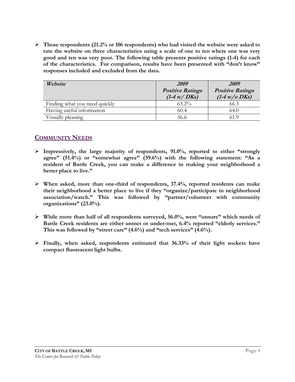¾ **Those respondents (21.2% or 106 respondents) who had visited the website were asked to rate the website on three characteristics using a scale of one to ten where one was very good and ten was very poor. The following table presents positive ratings (1-4) for each of the characteristics. For comparison, results have been presented with "don't know" responses included and excluded from the data.** 

| Website                       | 2009<br><b>Positive Ratings</b><br>$(1-4 \text{ w}/D$ Ks) | 2009<br><b>Positive Ratings</b><br>$(1-4)$ w/o DKs) |
|-------------------------------|-----------------------------------------------------------|-----------------------------------------------------|
| Finding what you need quickly | $63.2\%$                                                  | 66.3                                                |
| Having useful information     | 60.4                                                      | 64.0                                                |
| Visually pleasing             | 56.6                                                      | 61.9                                                |

### **COMMUNITY NEEDS**

- ¾ **Impressively, the large majority of respondents, 91.0%, reported to either "strongly agree" (51.4%) or "somewhat agree" (39.6%) with the following statement: "As a resident of Battle Creek, you can make a difference in making your neighborhood a better place to live."**
- ¾ **When asked, more than one-third of respondents, 37.4%, reported residents can make their neighborhood a better place to live if they "organize/participate in neighborhood association/watch." This was followed by "partner/volunteer with community organizations" (23.0%).**
- ¾ **While more than half of all respondents surveyed, 56.0%, were "unsure" which needs of Battle Creek residents are either unmet or under-met, 6.4% reported "elderly services." This was followed by "street care" (4.6%) and "tech services" (4.6%).**
- ¾ **Finally, when asked, respondents estimated that 36.33% of their light sockets have compact fluorescent light bulbs.**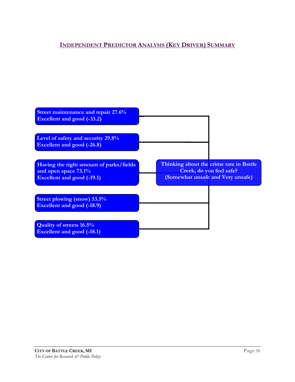## **INDEPENDENT PREDICTOR ANALYSIS (KEY DRIVER) SUMMARY**

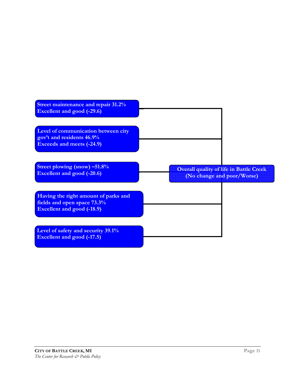| <b>Street maintenance and repair 31.2%</b><br><b>Excellent and good (-29.6)</b>                          |                                                                              |
|----------------------------------------------------------------------------------------------------------|------------------------------------------------------------------------------|
| Level of communication between city<br>gov't and residents 46.9%<br><b>Exceeds and meets (-24.9)</b>     |                                                                              |
| Street plowing (snow) -51.8%<br><b>Excellent and good (-20.6)</b>                                        | <b>Overall quality of life in Battle Creek</b><br>(No change and poor/Worse) |
| Having the right amount of parks and<br>fields and open space 73.3%<br><b>Excellent and good (-18.9)</b> |                                                                              |
| Level of safety and security 39.1%<br><b>Excellent and good (-17.5)</b>                                  |                                                                              |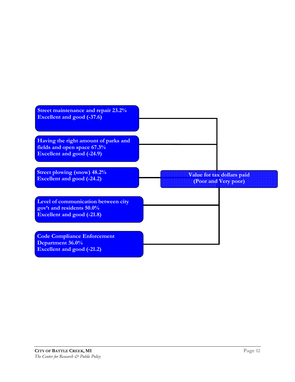| Street maintenance and repair 23.2%<br>Excellent and good (-37.6)                                        |                                                    |
|----------------------------------------------------------------------------------------------------------|----------------------------------------------------|
| Having the right amount of parks and<br>fields and open space 67.3%<br><b>Excellent and good (-24.9)</b> |                                                    |
| <b>Street plowing (snow) 48.2%</b><br><b>Excellent and good (-24.2)</b>                                  | Value for tax dollars paid<br>(Poor and Very poor) |
| Level of communication between city<br>gov't and residents 50.0%<br><b>Excellent and good (-21.8)</b>    |                                                    |
| <b>Code Compliance Enforcement</b><br>Department 36.0%<br><b>Excellent and good (-21.2)</b>              |                                                    |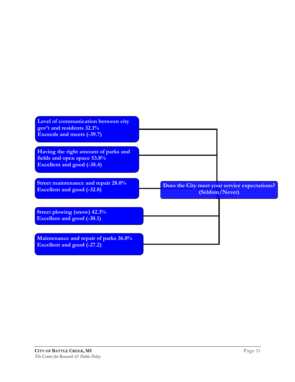| Level of communication between city<br>gov't and residents 32.1%<br><b>Exceeds and meets (-39.7)</b>     |                                                                 |
|----------------------------------------------------------------------------------------------------------|-----------------------------------------------------------------|
| Having the right amount of parks and<br>fields and open space 53.8%<br><b>Excellent and good (-38.4)</b> |                                                                 |
| Street maintenance and repair 28.0%<br>Excellent and good (-32.8)                                        | Does the City meet your service expectations?<br>(Seldom/Never) |
| <b>Street plowing (snow) 42.3%</b><br><b>Excellent and good (-30.1)</b>                                  |                                                                 |
| Maintenance and repair of parks 36.0%<br><b>Excellent and good (-27.2)</b>                               |                                                                 |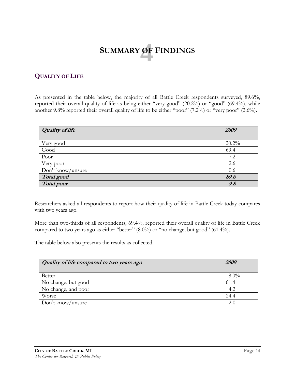# **4 SUMMARY OF FINDINGS**

### **QUALITY OF LIFE**

As presented in the table below, the majority of all Battle Creek respondents surveyed, 89.6%, reported their overall quality of life as being either "very good" (20.2%) or "good" (69.4%), while another 9.8% reported their overall quality of life to be either "poor" (7.2%) or "very poor" (2.6%).

| <b>Quality of life</b> | 2009  |
|------------------------|-------|
| Very good              | 20.2% |
| Good                   | 69.4  |
| Poor                   | 7.2   |
| Very poor              | 2.6   |
| Don't know/unsure      | 0.6   |
| Total good             | 89.6  |
| <b>Total</b> poor      | 9.8   |

Researchers asked all respondents to report how their quality of life in Battle Creek today compares with two years ago.

More than two-thirds of all respondents, 69.4%, reported their overall quality of life in Battle Creek compared to two years ago as either "better" (8.0%) or "no change, but good" (61.4%).

The table below also presents the results as collected.

| Quality of life compared to two years ago | <i>2009</i> |
|-------------------------------------------|-------------|
| <b>Better</b>                             | $8.0\%$     |
| No change, but good                       | 61.4        |
| No change, and poor                       | 4.2         |
| Worse                                     | 24.4        |
| Don't know/unsure                         |             |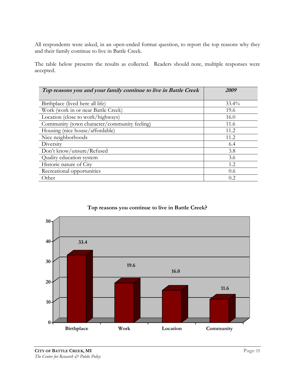All respondents were asked, in an open-ended format question, to report the top reasons why they and their family continue to live in Battle Creek.

The table below presents the results as collected. Readers should note, multiple responses were accepted.

| Top reasons you and your family continue to live in Battle Creek | <i>2009</i> |
|------------------------------------------------------------------|-------------|
|                                                                  |             |
| Birthplace (lived here all life)                                 | $33.4\%$    |
| Work (work in or near Battle Creek)                              | 19.6        |
| Location (close to work/highways)                                | 16.0        |
| Community (town character/community feeling)                     | 11.6        |
| Housing (nice house/affordable)                                  | 11.2.       |
| Nice neighborhoods                                               | 11.2        |
| Diversity                                                        | 6.4         |
| Don't know/unsure/Refused                                        | 3.8         |
| Quality education system                                         | 3.6         |
| Historic nature of City                                          | 1.2         |
| Recreational opportunities                                       | 0.6         |
| Other                                                            | 0.2         |



#### **Top reasons you continue to live in Battle Creek?**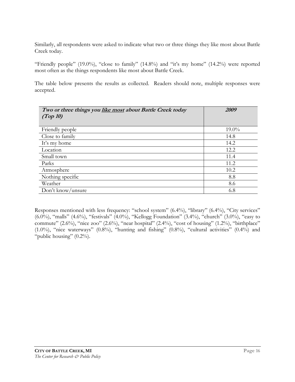Similarly, all respondents were asked to indicate what two or three things they like most about Battle Creek today.

"Friendly people" (19.0%), "close to family" (14.8%) and "it's my home" (14.2%) were reported most often as the things respondents like most about Battle Creek.

The table below presents the results as collected. Readers should note, multiple responses were accepted.

| Two or three things you like most about Battle Creek today<br>(Top 10) | 2009     |
|------------------------------------------------------------------------|----------|
| Friendly people                                                        | $19.0\%$ |
| Close to family                                                        | 14.8     |
| It's my home                                                           | 14.2     |
| Location                                                               | 12.2     |
| Small town                                                             | 11.4     |
| Parks                                                                  | 11.2     |
| Atmosphere                                                             | 10.2     |
| Nothing specific                                                       | 8.8      |
| Weather                                                                | 8.6      |
| Don't know/unsure                                                      | 6.8      |

Responses mentioned with less frequency: "school system" (6.4%), "library" (6.4%), "City services" (6.0%), "malls" (4.6%), "festivals" (4.0%), "Kellogg Foundation" (3.4%), "church" (3.0%), "easy to commute" (2.6%), "nice zoo" (2.6%), "near hospital" (2.4%), "cost of housing" (1.2%), "birthplace"  $(1.0\%)$ , "nice waterways"  $(0.8\%)$ , "hunting and fishing"  $(0.8\%)$ , "cultural activities"  $(0.4\%)$  and "public housing"  $(0.2\%)$ .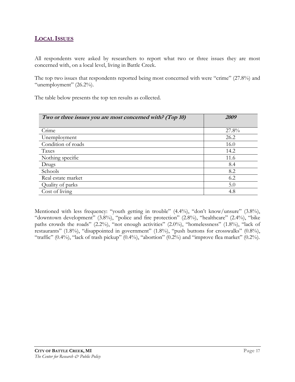## **LOCAL ISSUES**

All respondents were asked by researchers to report what two or three issues they are most concerned with, on a local level, living in Battle Creek.

The top two issues that respondents reported being most concerned with were "crime" (27.8%) and "unemployment"  $(26.2\%)$ .

The table below presents the top ten results as collected.

| Two or three issues you are most concerned with? (Top 10) | 2009  |
|-----------------------------------------------------------|-------|
|                                                           |       |
| Crime                                                     | 27.8% |
| Unemployment                                              | 26.2  |
| Condition of roads                                        | 16.0  |
| Taxes                                                     | 14.2  |
| Nothing specific                                          | 11.6  |
| Drugs                                                     | 8.4   |
| Schools                                                   | 8.2   |
| Real estate market                                        | 6.2   |
| Quality of parks                                          | 5.0   |
| Cost of living                                            | 4.8   |

Mentioned with less frequency: "youth getting in trouble" (4.4%), "don't know/unsure" (3.8%), "downtown development" (3.8%), "police and fire protection" (2.8%), "healthcare" (2.4%), "bike paths crowds the roads" (2.2%), "not enough activities" (2.0%), "homelessness" (1.8%), "lack of restaurants" (1.8%), "disappointed in government" (1.8%), "push buttons for crosswalks" (0.8%), "traffic"  $(0.4\%)$ , "lack of trash pickup"  $(0.4\%)$ , "abortion"  $(0.2\%)$  and "improve flea market"  $(0.2\%)$ .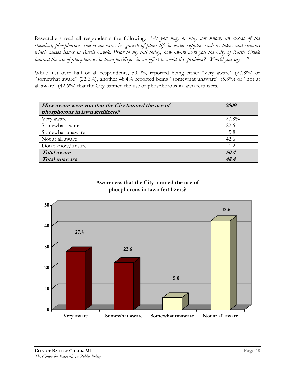Researchers read all respondents the following: *"As you may or may not know, an excess of the chemical, phosphorous, causes an excessive growth of plant life in water supplies such as lakes and streams which causes issues in Battle Creek. Prior to my call today, how aware were you the City of Battle Creek banned the use of phosphorous in lawn fertilizers in an effort to avoid this problem? Would you say…"*

While just over half of all respondents, 50.4%, reported being either "very aware" (27.8%) or "somewhat aware" (22.6%), another 48.4% reported being "somewhat unaware" (5.8%) or "not at all aware" (42.6%) that the City banned the use of phosphorous in lawn fertilizers.

| How aware were you that the City banned the use of<br>phosphorous in lawn fertilizers? | 2009  |
|----------------------------------------------------------------------------------------|-------|
| Very aware                                                                             | 27.8% |
| Somewhat aware                                                                         | 22.6  |
| Somewhat unaware                                                                       | 5.8   |
| Not at all aware                                                                       | 42.6  |
| Don't know/unsure                                                                      | 1.2.  |
| <b>Total</b> aware                                                                     | 50.4  |
| Total unaware                                                                          | 48.4  |

#### **Awareness that the City banned the use of phosphorous in lawn fertilizers?**

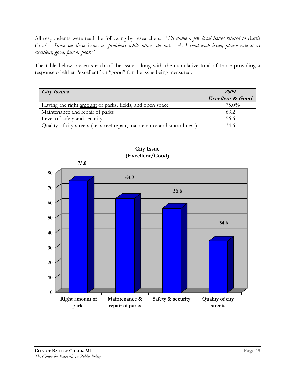All respondents were read the following by researchers: *"I'll name a few local issues related to Battle Creek. Some see these issues as problems while others do not. As I read each issue, please rate it as excellent, good, fair or poor."*

The table below presents each of the issues along with the cumulative total of those providing a response of either "excellent" or "good" for the issue being measured.

| <b>City Issues</b>                                                       | 2009                        |
|--------------------------------------------------------------------------|-----------------------------|
|                                                                          | <b>Excellent &amp; Good</b> |
| Having the right amount of parks, fields, and open space                 | $75.0\%$                    |
| Maintenance and repair of parks                                          | 63.2                        |
| Level of safety and security                                             | 56.6                        |
| Quality of city streets (i.e. street repair, maintenance and smoothness) | 34.6                        |



**City Issue (Excellent/Good)**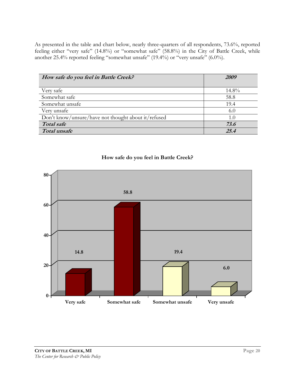As presented in the table and chart below, nearly three-quarters of all respondents, 73.6%, reported feeling either "very safe" (14.8%) or "somewhat safe" (58.8%) in the City of Battle Creek, while another 25.4% reported feeling "somewhat unsafe" (19.4%) or "very unsafe" (6.0%).

| How safe do you feel in Battle Creek?               | 2009  |
|-----------------------------------------------------|-------|
| Very safe                                           | 14.8% |
| Somewhat safe                                       | 58.8  |
| Somewhat unsafe                                     | 19.4  |
| Very unsafe                                         | 6.0   |
| Don't know/unsure/have not thought about it/refused | 1.0   |
| Total safe                                          | 73.6  |
| Total unsafe                                        | 254   |

#### **How safe do you feel in Battle Creek?**

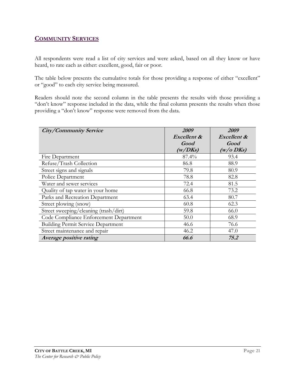## **COMMUNITY SERVICES**

All respondents were read a list of city services and were asked, based on all they know or have heard, to rate each as either: excellent, good, fair or poor.

The table below presents the cumulative totals for those providing a response of either "excellent" or "good" to each city service being measured.

Readers should note the second column in the table presents the results with those providing a "don't know" response included in the data, while the final column presents the results when those providing a "don't know" response were removed from the data.

| <b>City/Community Service</b>             | 2009        | 2009         |
|-------------------------------------------|-------------|--------------|
|                                           | Excellent & | Excellent &  |
|                                           | Good        | Good         |
|                                           | (w/DKs)     | $(w/o\,DKs)$ |
| Fire Department                           | 87.4%       | 93.4         |
| Refuse/Trash Collection                   | 86.8        | 88.9         |
| Street signs and signals                  | 79.8        | 80.9         |
| Police Department                         | 78.8        | 82.8         |
| Water and sewer services                  | 72.4        | 81.5         |
| Quality of tap water in your home         | 66.8        | 73.2         |
| Parks and Recreation Department           | 63.4        | 80.7         |
| Street plowing (snow)                     | 60.8        | 62.3         |
| Street sweeping/cleaning (trash/dirt)     | 59.8        | 66.0         |
| Code Compliance Enforcement Department    | 50.0        | 68.9         |
| <b>Building Permit Service Department</b> | 46.6        | 76.6         |
| Street maintenance and repair             | 46.2        | 47.0         |
| Average positive rating                   | 66.6        | 75.2         |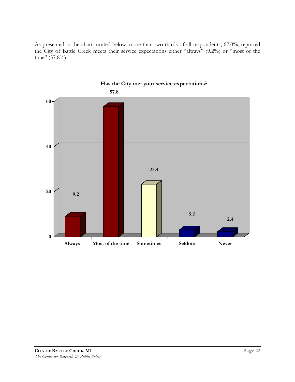As presented in the chart located below, more than two-thirds of all respondents, 67.0%, reported the City of Battle Creek meets their service expectations either "always" (9.2%) or "most of the time" (57.8%).



## **Has the City met your service expectations?**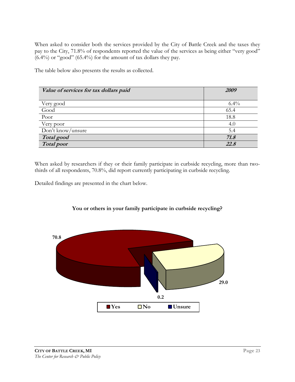When asked to consider both the services provided by the City of Battle Creek and the taxes they pay to the City, 71.8% of respondents reported the value of the services as being either "very good" (6.4%) or "good" (65.4%) for the amount of tax dollars they pay.

The table below also presents the results as collected.

| Value of services for tax dollars paid | <i>2009</i> |
|----------------------------------------|-------------|
| Very good                              | $6.4\%$     |
| Good                                   | 65.4        |
| Poor                                   | 18.8        |
| Very poor                              | 4.0         |
| Don't know/unsure                      | 5.4         |
| Total good                             | 71.8        |
| <b>Total poor</b>                      | 22.5        |

When asked by researchers if they or their family participate in curbside recycling, more than twothirds of all respondents, 70.8%, did report currently participating in curbside recycling.

Detailed findings are presented in the chart below.



#### **You or others in your family participate in curbside recycling?**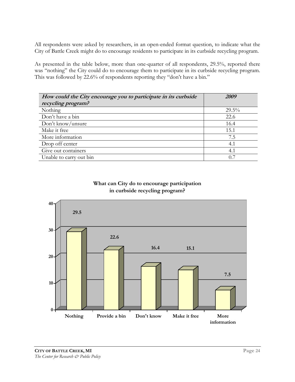All respondents were asked by researchers, in an open-ended format question, to indicate what the City of Battle Creek might do to encourage residents to participate in its curbside recycling program.

As presented in the table below, more than one-quarter of all respondents, 29.5%, reported there was "nothing" the City could do to encourage them to participate in its curbside recycling program. This was followed by 22.6% of respondents reporting they "don't have a bin."

| How could the City encourage you to participate in its curbside | 2009     |
|-----------------------------------------------------------------|----------|
| recycling program?                                              |          |
| Nothing                                                         | $29.5\%$ |
| Don't have a bin                                                | 22.6     |
| Don't know/unsure                                               | 16.4     |
| Make it free                                                    | 15.1     |
| More information                                                | 7.5      |
| Drop off center                                                 | 4.1      |
| Give out containers                                             | 4.1      |
| Unable to carry out bin                                         | 0.7      |

#### **What can City do to encourage participation in curbside recycling program?**

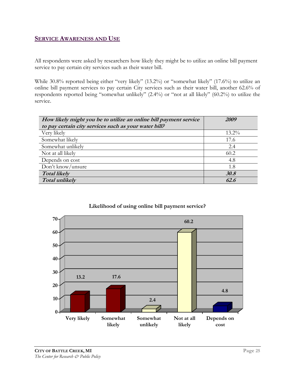#### **SERVICE AWARENESS AND USE**

All respondents were asked by researchers how likely they might be to utilize an online bill payment service to pay certain city services such as their water bill.

While 30.8% reported being either "very likely" (13.2%) or "somewhat likely" (17.6%) to utilize an online bill payment services to pay certain City services such as their water bill, another 62.6% of respondents reported being "somewhat unlikely" (2.4%) or "not at all likely" (60.2%) to utilize the service.

| How likely might you be to utilize an online bill payment service | 2009     |
|-------------------------------------------------------------------|----------|
| to pay certain city services such as your water bill?             |          |
| Very likely                                                       | $13.2\%$ |
| Somewhat likely                                                   | 17.6     |
| Somewhat unlikely                                                 | 2.4      |
| Not at all likely                                                 | 60.2     |
| Depends on cost                                                   | 4.8      |
| Don't know/unsure                                                 | 1.8      |
| <b>Total likely</b>                                               | 30.8     |
| <b>Total unlikely</b>                                             | 62.6     |



#### **Likelihood of using online bill payment service?**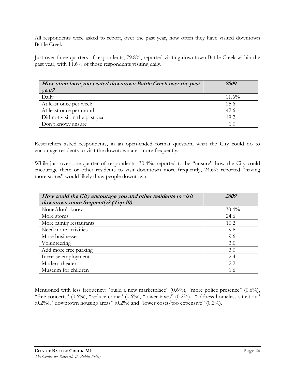All respondents were asked to report, over the past year, how often they have visited downtown Battle Creek.

Just over three-quarters of respondents, 79.8%, reported visiting downtown Battle Creek within the past year, with 11.6% of those respondents visiting daily.

| How often have you visited downtown Battle Creek over the past<br>year? | 2009  |
|-------------------------------------------------------------------------|-------|
| Daily                                                                   | 11.6% |
| At least once per week                                                  | 25.6  |
| At least once per month                                                 | 42.6  |
| Did not visit in the past year                                          | 19.2  |
| Don't know/unsure                                                       | 1.0   |

Researchers asked respondents, in an open-ended format question, what the City could do to encourage residents to visit the downtown area more frequently.

While just over one-quarter of respondents, 30.4%, reported to be "unsure" how the City could encourage them or other residents to visit downtown more frequently, 24.6% reported "having more stores" would likely draw people downtown.

| How could the City encourage you and other residents to visit | <i>2009</i> |
|---------------------------------------------------------------|-------------|
| downtown more frequently? (Top 10)                            |             |
| None/don't know                                               | $30.4\%$    |
| More stores                                                   | 24.6        |
| More family restaurants                                       | 10.2        |
| Need more activities                                          | 9.8         |
| More businesses                                               | 9.6         |
| Volunteering                                                  | 3.0         |
| Add more free parking                                         | 3.0         |
| Increase employment                                           | 2.4         |
| Modern theater                                                | 2.2         |
| Museum for children                                           | 1.6         |

Mentioned with less frequency: "build a new marketplace" (0.6%), "more police presence" (0.6%), "free concerts" (0.6%), "reduce crime" (0.6%), "lower taxes" (0.2%), "address homeless situation" (0.2%), "downtown housing areas" (0.2%) and "lower costs/too expensive" (0.2%).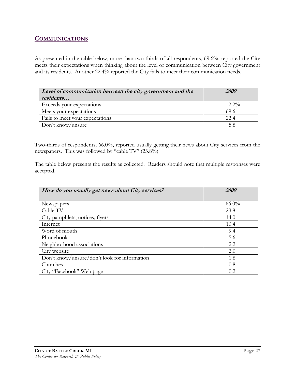## **COMMUNICATIONS**

As presented in the table below, more than two-thirds of all respondents, 69.6%, reported the City meets their expectations when thinking about the level of communication between City government and its residents. Another 22.4% reported the City fails to meet their communication needs.

| Level of communication between the city government and the | 2009    |
|------------------------------------------------------------|---------|
| residents                                                  |         |
| Exceeds your expectations                                  | $2.2\%$ |
| Meets your expectations                                    | 69.6    |
| Fails to meet your expectations                            | 22.4    |
| Don't know/unsure                                          |         |

Two-thirds of respondents, 66.0%, reported usually getting their news about City services from the newspapers. This was followed by "cable TV" (23.8%).

The table below presents the results as collected. Readers should note that multiple responses were accepted.

| How do you usually get news about City services? | <i>2009</i> |
|--------------------------------------------------|-------------|
|                                                  |             |
| Newspapers                                       | $66.0\%$    |
| Cable TV                                         | 23.8        |
| City pamphlets, notices, flyers                  | 14.0        |
| Internet                                         | 10.4        |
| Word of mouth                                    | 9.4         |
| Phonebook                                        | 5.6         |
| Neighborhood associations                        | 2.2         |
| City website                                     | 2.0         |
| Don't know/unsure/don't look for information     | 1.8         |
| Churches                                         | 0.8         |
| City "Facebook" Web page                         | 0.2         |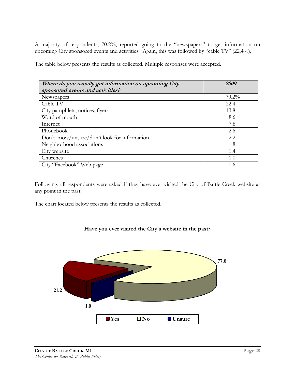A majority of respondents, 70.2%, reported going to the "newspapers" to get information on upcoming City sponsored events and activities. Again, this was followed by "cable TV" (22.4%).

The table below presents the results as collected. Multiple responses were accepted.

| Where do you usually get information on upcoming City | 2009     |
|-------------------------------------------------------|----------|
| sponsored events and activities?                      |          |
| Newspapers                                            | $70.2\%$ |
| Cable TV                                              | 22.4     |
| City pamphlets, notices, flyers                       | 13.8     |
| Word of mouth                                         | 8.6      |
| Internet                                              | 7.8      |
| Phonebook                                             | 2.6      |
| Don't know/unsure/don't look for information          | 2.2      |
| Neighborhood associations                             | 1.8      |
| City website                                          | 1.4      |
| Churches                                              | 1.0      |
| City "Facebook" Web page                              | 0.6      |

Following, all respondents were asked if they have ever visited the City of Battle Creek website at any point in the past.

The chart located below presents the results as collected.



#### **Have you ever visited the City's website in the past?**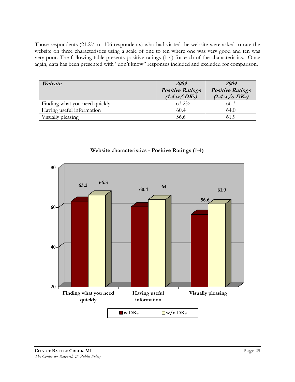Those respondents (21.2% or 106 respondents) who had visited the website were asked to rate the website on three characteristics using a scale of one to ten where one was very good and ten was very poor. The following table presents positive ratings (1-4) for each of the characteristics. Once again, data has been presented with "don't know" responses included and excluded for comparison.

| Website                       | 2009                                              | 2009                                       |
|-------------------------------|---------------------------------------------------|--------------------------------------------|
|                               | <b>Positive Ratings</b><br>$(1-4 \text{ w}/D$ Ks) | <b>Positive Ratings</b><br>$(1-4 W/O$ DKs) |
| Finding what you need quickly | $63.2\%$                                          | 66.3                                       |
| Having useful information     | 60.4                                              | 64.0                                       |
| Visually pleasing             | 56.6                                              | 61 9                                       |



**Website characteristics - Positive Ratings (1-4)**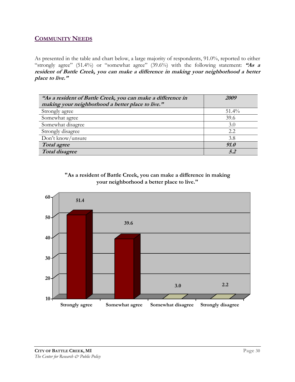## **COMMUNITY NEEDS**

As presented in the table and chart below, a large majority of respondents, 91.0%, reported to either "strongly agree" (51.4%) or "somewhat agree" (39.6%) with the following statement: **"As a resident of Battle Creek, you can make a difference in making your neighborhood a better place to live."** 

| "As a resident of Battle Creek, you can make a difference in<br>making your neighborhood a better place to live." | 2009     |
|-------------------------------------------------------------------------------------------------------------------|----------|
| Strongly agree                                                                                                    | $51.4\%$ |
| Somewhat agree                                                                                                    | 39.6     |
| Somewhat disagree                                                                                                 | 3.0      |
| Strongly disagree                                                                                                 | 2.2      |
| Don't know/unsure                                                                                                 | 3.8      |
| Total agree                                                                                                       | 91.0     |
| <b>Total disagree</b>                                                                                             | 52       |



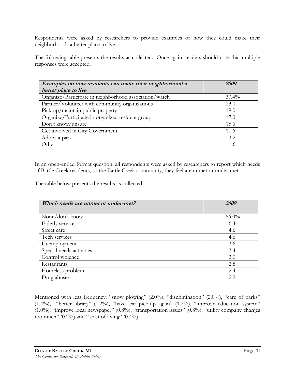Respondents were asked by researchers to provide examples of how they could make their neighborhoods a better place to live.

The following table presents the results as collected. Once again, readers should note that multiple responses were accepted.

| Examples on how residents can make their neighborhood a | 2009     |
|---------------------------------------------------------|----------|
| better place to live                                    |          |
| Organize/Participate in neighborhood association/watch  | $37.4\%$ |
| Partner/Volunteer with community organizations          | 23.0     |
| Pick-up/maintain public property                        | 19.0     |
| Organize/Participate in organized resident group        | 17.0     |
| Don't know/unsure                                       | 15.6     |
| Get involved in City Government                         | 11.6     |
| Adopt-a-park                                            | 3.2      |
| Other                                                   | 1.6      |

In an open-ended format question, all respondents were asked by researchers to report which needs of Battle Creek residents, or the Battle Creek community, they feel are unmet or under-met.

The table below presents the results as collected.

| Which needs are unmet or under-met? | 2009     |
|-------------------------------------|----------|
|                                     |          |
| None/don't know                     | $56.0\%$ |
| Elderly services                    | 6.4      |
| Street care                         | 4.6      |
| Tech services                       | 4.6      |
| Unemployment                        | 3.6      |
| Special needs activities            | 3.4      |
| Control violence                    | 3.0      |
| Restaurants                         | 2.8      |
| Homeless problem                    | 2.4      |
| Drug abusers                        | 2.2      |

Mentioned with less frequency: "snow plowing" (2.0%), "discrimination" (2.0%), "care of parks" (1.4%), "better library" (1.2%), "have leaf pick-up again" (1.2%), "improve education system" (1.0%), "improve local newspaper" (0.8%), "transportation issues" (0.8%), "utility company charges too much"  $(0.2\%)$  and " cost of living"  $(0.4\%)$ .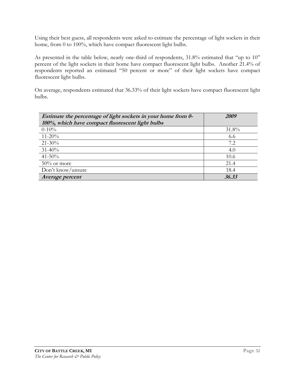Using their best guess, all respondents were asked to estimate the percentage of light sockets in their home, from 0 to 100%, which have compact fluorescent light bulbs.

As presented in the table below, nearly one-third of respondents, 31.8% estimated that "up to 10" percent of the light sockets in their home have compact fluorescent light bulbs. Another 21.4% of respondents reported an estimated "50 percent or more" of their light sockets have compact fluorescent light bulbs.

On average, respondents estimated that 36.33% of their light sockets have compact fluorescent light bulbs.

| Estimate the percentage of light sockets in your home from 0-<br>100%, which have compact fluorescent light bulbs | 2009  |
|-------------------------------------------------------------------------------------------------------------------|-------|
| $0-10%$                                                                                                           | 31.8% |
| $11 - 20\%$                                                                                                       | 6.6   |
| $21 - 30\%$                                                                                                       | 7.2   |
| $31 - 40\%$                                                                                                       | 4.0   |
| $41 - 50\%$                                                                                                       | 10.6  |
| $50\%$ or more                                                                                                    | 21.4  |
| Don't know/unsure                                                                                                 | 18.4  |
| Average percent                                                                                                   | 36.33 |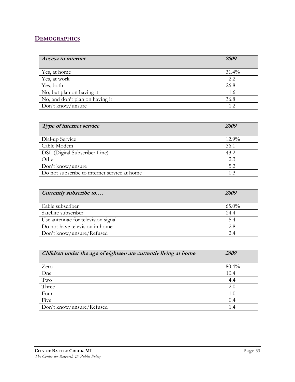## **DEMOGRAPHICS**

| <b>Access to internet</b>       | 2009  |
|---------------------------------|-------|
| Yes, at home                    | 31.4% |
| Yes, at work                    | 2.2   |
| Yes, both                       | 26.8  |
| No, but plan on having it       | 1.6   |
| No, and don't plan on having it | 36.8  |
| Don't know/unsure               | 1.2   |

| Type of internet service                     | 2009     |
|----------------------------------------------|----------|
|                                              |          |
| Dial-up Service                              | $12.9\%$ |
| Cable Modem                                  | 36.1     |
| DSL (Digital Subscriber Line)                | 43.2     |
| Other                                        | 2.3      |
| Don't know/unsure                            | 5.2      |
| Do not subscribe to internet service at home | 0.3      |

| Currently subscribe to             | 2009     |
|------------------------------------|----------|
| Cable subscriber                   | $65.0\%$ |
| Satellite subscriber               | 24.4     |
| Use antennae for television signal | 5.4      |
| Do not have television in home     | 2.8      |
| Don't know/unsure/Refused          | 2.4      |

| Children under the age of eighteen are currently living at home | <i>2009</i> |
|-----------------------------------------------------------------|-------------|
|                                                                 |             |
| Zero                                                            | 80.4%       |
| One                                                             | 10.4        |
| $\operatorname{Two}$                                            | 4.4         |
| Three                                                           | 2.0         |
| Four                                                            | 1.0         |
| Five                                                            | 0.4         |
| Don't know/unsure/Refused                                       |             |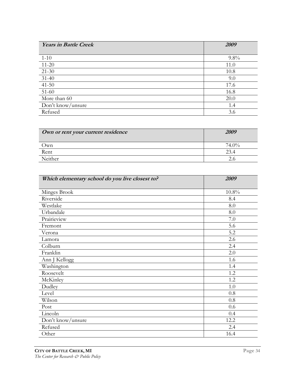| <b>Years in Battle Creek</b> | 2009 |
|------------------------------|------|
|                              |      |
| $1-10$                       | 9.8% |
| $11 - 20$                    | 11.0 |
| $21 - 30$                    | 10.8 |
| $31 - 40$                    | 9.0  |
| $41 - 50$                    | 17.6 |
| $51-60$                      | 16.8 |
| More than 60                 | 20.0 |
| Don't know/unsure            | 1.4  |
| Refused                      | 3.6  |

| Own or rent your current residence | <i>2009</i> |
|------------------------------------|-------------|
| Jwn                                | $74.0\%$    |
| Rent                               |             |
| Neither                            |             |

| Which elementary school do you live closest to? | 2009     |
|-------------------------------------------------|----------|
| Minges Brook                                    | $10.8\%$ |
| Riverside                                       | 8.4      |
| Westlake                                        | 8.0      |
| Urbandale                                       | 8.0      |
| Prairieview                                     | 7.0      |
| Fremont                                         | 5.6      |
| Verona                                          | 5.2      |
| Lamora                                          | 2.6      |
| Colburn                                         | 2.4      |
| Franklin                                        | 2.0      |
| Ann J Kellogg                                   | 1.6      |
| Washington                                      | 1.4      |
| Roosevelt                                       | 1.2      |
| McKinley                                        | 1.2      |
| Dudley                                          | 1.0      |
| Level                                           | 0.8      |
| Wilson                                          | 0.8      |
| Post                                            | 0.6      |
| Lincoln                                         | 0.4      |
| Don't know/unsure                               | 12.2     |
| Refused                                         | 2.4      |
| Other                                           | 16.4     |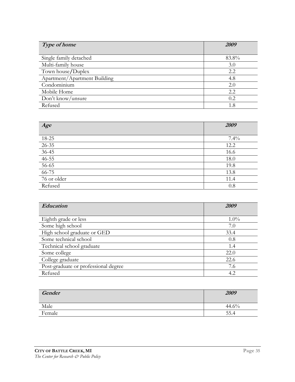| Type of home                 | <i>2009</i> |
|------------------------------|-------------|
| Single family detached       | 83.8%       |
| Multi-family house           | 3.0         |
| Town house/Duplex            | 2.2         |
| Apartment/Apartment Building | 4.8         |
| Condominium                  | 2.0         |
| Mobile Home                  | 2.2         |
| Don't know/unsure            | 0.2         |
| Refused                      | 1.8         |

| Age                   | 2009 |
|-----------------------|------|
|                       |      |
| 18-25                 | 7.4% |
| $26 - 35$             | 12.2 |
|                       | 16.6 |
| $\frac{36-45}{46-55}$ | 18.0 |
| $56 - 65$             | 19.8 |
| $66 - 75$             | 13.8 |
| 76 or older           | 11.4 |
| Refused               | 0.8  |

| Education                            | 2009    |
|--------------------------------------|---------|
|                                      |         |
| Eighth grade or less                 | $1.0\%$ |
| Some high school                     | 7.0     |
| High school graduate or GED          | 33.4    |
| Some technical school                | 0.8     |
| Technical school graduate            | 1.4     |
| Some college                         | 22.0    |
| College graduate                     | 22.6    |
| Post-graduate or professional degree | 7.6     |
| Refused                              | 4.2     |

| Gender | 2009  |
|--------|-------|
| Male   | 44.6% |
| Female | 55.4  |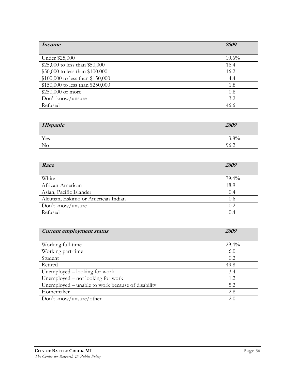| <i>Income</i>                    | <i>2009</i> |
|----------------------------------|-------------|
|                                  |             |
| Under \$25,000                   | $10.6\%$    |
| \$25,000 to less than \$50,000   | 16.4        |
| \$50,000 to less than \$100,000  | 16.2        |
| \$100,000 to less than \$150,000 | 4.4         |
| \$150,000 to less than \$250,000 | 1.8         |
| \$250,000 or more                | 0.8         |
| Don't know/unsure                | 3.2         |
| Refused                          | 46.6        |

| Hispanic       | 2009           |
|----------------|----------------|
| Yes            | $3.8\%$<br>э.o |
| N <sub>0</sub> | 96<br>0.4      |

| Race                                | 2009  |
|-------------------------------------|-------|
| White                               | 79.4% |
| African-American                    | 18.9  |
| Asian, Pacific Islander             | 0.4   |
| Aleutian, Eskimo or American Indian | 0.6   |
| Don't know/unsure                   | 0.2   |
| Refused                             | 0.4   |

| Current employment status                         | <i>2009</i> |
|---------------------------------------------------|-------------|
|                                                   |             |
| Working full-time                                 | $29.4\%$    |
| Working part-time                                 | 6.0         |
| Student                                           | 0.2         |
| Retired                                           | 49.8        |
| Unemployed – looking for work                     | 3.4         |
| Unemployed – not looking for work                 | 1.2         |
| Unemployed – unable to work because of disability | 5.2         |
| Homemaker                                         | 2.8         |
| Don't know/unsure/other                           | 2.0         |